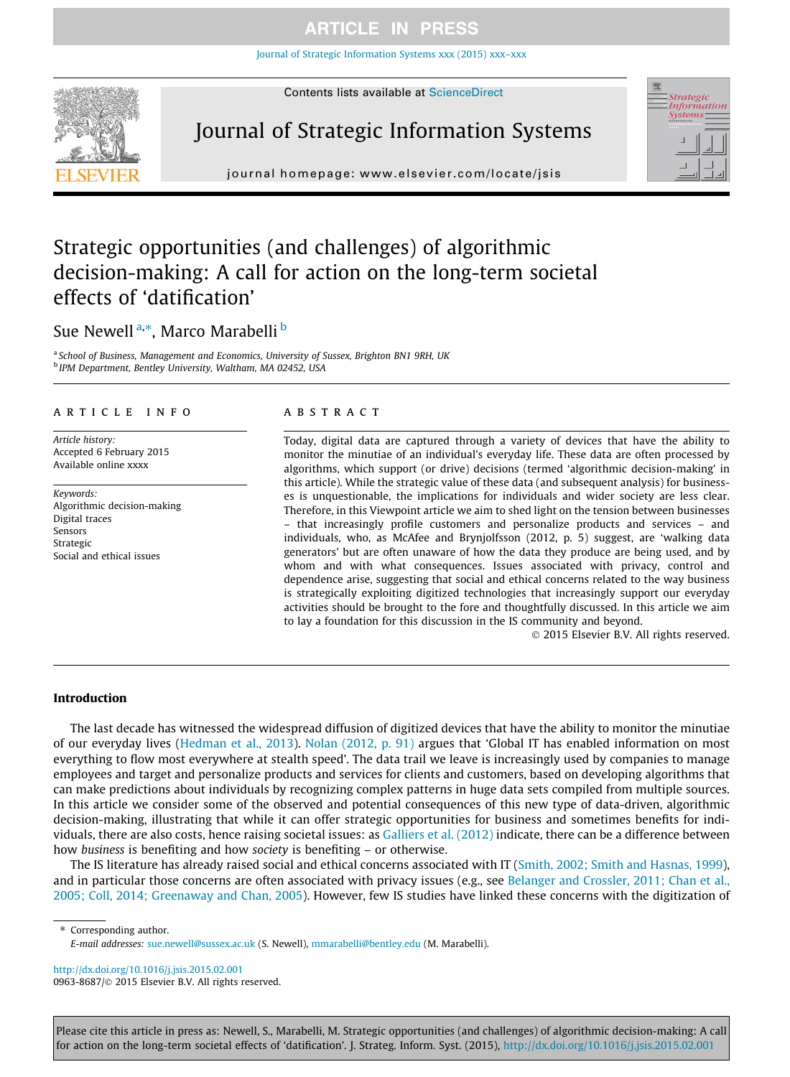[Journal of Strategic Information Systems xxx \(2015\) xxx–xxx](http://dx.doi.org/10.1016/j.jsis.2015.02.001)



Contents lists available at [ScienceDirect](http://www.sciencedirect.com/science/journal/09638687)

# Journal of Strategic Information Systems

strategio Information Systems-

journal homepage: [www.elsevier.com/locate/jsis](http://www.elsevier.com/locate/jsis)

# Strategic opportunities (and challenges) of algorithmic decision-making: A call for action on the long-term societal effects of 'datification'

## Sue Newell <sup>a,</sup>\*, Marco Marabelli <sup>b</sup>

<sup>a</sup> School of Business, Management and Economics, University of Sussex, Brighton BN1 9RH, UK <sup>b</sup> IPM Department, Bentley University, Waltham, MA 02452, USA

## article info

Article history: Accepted 6 February 2015 Available online xxxx

Keywords: Algorithmic decision-making Digital traces Sensors Strategic Social and ethical issues

## ABSTRACT

Today, digital data are captured through a variety of devices that have the ability to monitor the minutiae of an individual's everyday life. These data are often processed by algorithms, which support (or drive) decisions (termed 'algorithmic decision-making' in this article). While the strategic value of these data (and subsequent analysis) for businesses is unquestionable, the implications for individuals and wider society are less clear. Therefore, in this Viewpoint article we aim to shed light on the tension between businesses – that increasingly profile customers and personalize products and services – and individuals, who, as McAfee and Brynjolfsson (2012, p. 5) suggest, are 'walking data generators' but are often unaware of how the data they produce are being used, and by whom and with what consequences. Issues associated with privacy, control and dependence arise, suggesting that social and ethical concerns related to the way business is strategically exploiting digitized technologies that increasingly support our everyday activities should be brought to the fore and thoughtfully discussed. In this article we aim to lay a foundation for this discussion in the IS community and beyond.

 $©$  2015 Elsevier B.V. All rights reserved.

## Introduction

The last decade has witnessed the widespread diffusion of digitized devices that have the ability to monitor the minutiae of our everyday lives [\(Hedman et al., 2013](#page-11-0)). [Nolan \(2012, p. 91\)](#page-11-0) argues that 'Global IT has enabled information on most everything to flow most everywhere at stealth speed'. The data trail we leave is increasingly used by companies to manage employees and target and personalize products and services for clients and customers, based on developing algorithms that can make predictions about individuals by recognizing complex patterns in huge data sets compiled from multiple sources. In this article we consider some of the observed and potential consequences of this new type of data-driven, algorithmic decision-making, illustrating that while it can offer strategic opportunities for business and sometimes benefits for individuals, there are also costs, hence raising societal issues: as [Galliers et al. \(2012\)](#page-11-0) indicate, there can be a difference between how business is benefiting and how society is benefiting – or otherwise.

The IS literature has already raised social and ethical concerns associated with IT [\(Smith, 2002; Smith and Hasnas, 1999](#page-11-0)), and in particular those concerns are often associated with privacy issues (e.g., see [Belanger and Crossler, 2011; Chan et al.,](#page-10-0) [2005; Coll, 2014; Greenaway and Chan, 2005\)](#page-10-0). However, few IS studies have linked these concerns with the digitization of

⇑ Corresponding author. E-mail addresses: [sue.newell@sussex.ac.uk](mailto:sue.newell@sussex.ac.uk) (S. Newell), [mmarabelli@bentley.edu](mailto:mmarabelli@bentley.edu) (M. Marabelli).

<http://dx.doi.org/10.1016/j.jsis.2015.02.001> 0963-8687/© 2015 Elsevier B.V. All rights reserved.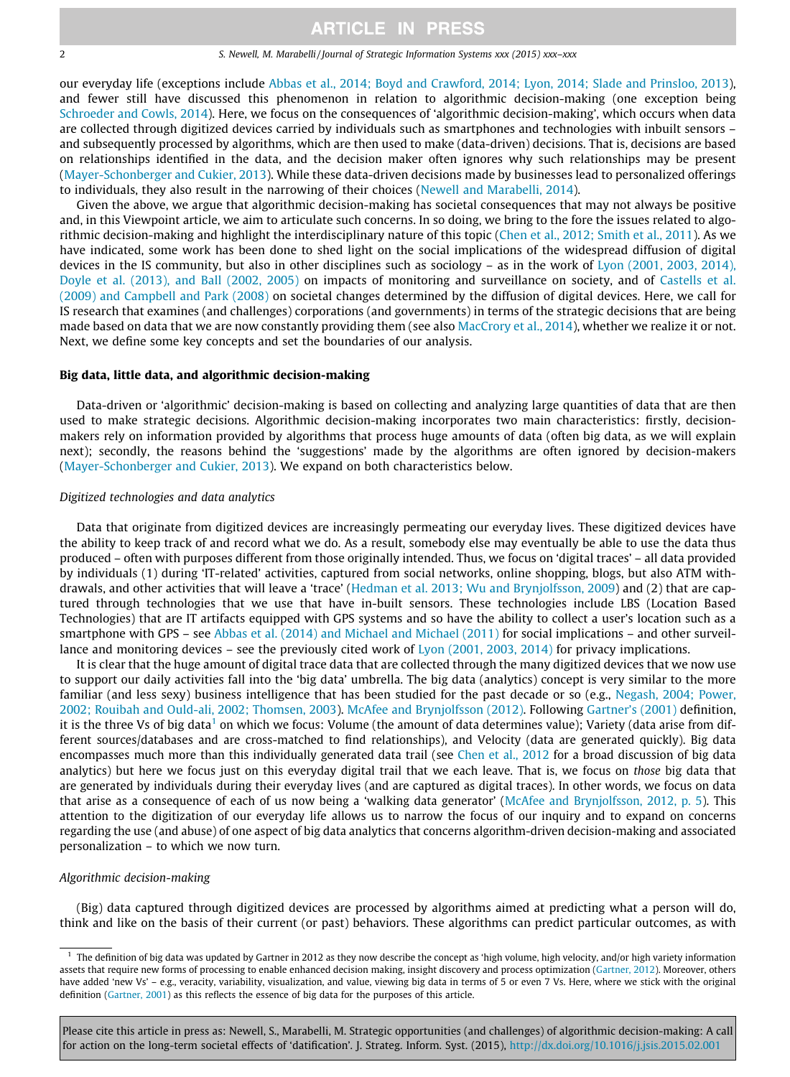2 S. Newell, M. Marabelli / Journal of Strategic Information Systems xxx (2015) xxx–xxx

our everyday life (exceptions include [Abbas et al., 2014; Boyd and Crawford, 2014; Lyon, 2014; Slade and Prinsloo, 2013\)](#page-10-0), and fewer still have discussed this phenomenon in relation to algorithmic decision-making (one exception being [Schroeder and Cowls, 2014](#page-11-0)). Here, we focus on the consequences of 'algorithmic decision-making', which occurs when data are collected through digitized devices carried by individuals such as smartphones and technologies with inbuilt sensors – and subsequently processed by algorithms, which are then used to make (data-driven) decisions. That is, decisions are based on relationships identified in the data, and the decision maker often ignores why such relationships may be present [\(Mayer-Schonberger and Cukier, 2013\)](#page-11-0). While these data-driven decisions made by businesses lead to personalized offerings to individuals, they also result in the narrowing of their choices [\(Newell and Marabelli, 2014](#page-11-0)).

Given the above, we argue that algorithmic decision-making has societal consequences that may not always be positive and, in this Viewpoint article, we aim to articulate such concerns. In so doing, we bring to the fore the issues related to algorithmic decision-making and highlight the interdisciplinary nature of this topic [\(Chen et al., 2012; Smith et al., 2011\)](#page-10-0). As we have indicated, some work has been done to shed light on the social implications of the widespread diffusion of digital devices in the IS community, but also in other disciplines such as sociology – as in the work of [Lyon \(2001, 2003, 2014\),](#page-11-0) [Doyle et al. \(2013\), and Ball \(2002, 2005\)](#page-11-0) on impacts of monitoring and surveillance on society, and of [Castells et al.](#page-10-0) [\(2009\) and Campbell and Park \(2008\)](#page-10-0) on societal changes determined by the diffusion of digital devices. Here, we call for IS research that examines (and challenges) corporations (and governments) in terms of the strategic decisions that are being made based on data that we are now constantly providing them (see also [MacCrory et al., 2014\)](#page-11-0), whether we realize it or not. Next, we define some key concepts and set the boundaries of our analysis.

### Big data, little data, and algorithmic decision-making

Data-driven or 'algorithmic' decision-making is based on collecting and analyzing large quantities of data that are then used to make strategic decisions. Algorithmic decision-making incorporates two main characteristics: firstly, decisionmakers rely on information provided by algorithms that process huge amounts of data (often big data, as we will explain next); secondly, the reasons behind the 'suggestions' made by the algorithms are often ignored by decision-makers [\(Mayer-Schonberger and Cukier, 2013\)](#page-11-0). We expand on both characteristics below.

### Digitized technologies and data analytics

Data that originate from digitized devices are increasingly permeating our everyday lives. These digitized devices have the ability to keep track of and record what we do. As a result, somebody else may eventually be able to use the data thus produced – often with purposes different from those originally intended. Thus, we focus on 'digital traces' – all data provided by individuals (1) during 'IT-related' activities, captured from social networks, online shopping, blogs, but also ATM withdrawals, and other activities that will leave a 'trace' [\(Hedman et al. 2013; Wu and Brynjolfsson, 2009](#page-11-0)) and (2) that are captured through technologies that we use that have in-built sensors. These technologies include LBS (Location Based Technologies) that are IT artifacts equipped with GPS systems and so have the ability to collect a user's location such as a smartphone with GPS – see [Abbas et al. \(2014\) and Michael and Michael \(2011\)](#page-10-0) for social implications – and other surveillance and monitoring devices – see the previously cited work of [Lyon \(2001, 2003, 2014\)](#page-11-0) for privacy implications.

It is clear that the huge amount of digital trace data that are collected through the many digitized devices that we now use to support our daily activities fall into the 'big data' umbrella. The big data (analytics) concept is very similar to the more familiar (and less sexy) business intelligence that has been studied for the past decade or so (e.g., [Negash, 2004; Power,](#page-11-0) [2002; Rouibah and Ould-ali, 2002; Thomsen, 2003](#page-11-0)). [McAfee and Brynjolfsson \(2012\).](#page-11-0) Following [Gartner's \(2001\)](#page-11-0) definition, it is the three Vs of big data<sup>1</sup> on which we focus: Volume (the amount of data determines value); Variety (data arise from different sources/databases and are cross-matched to find relationships), and Velocity (data are generated quickly). Big data encompasses much more than this individually generated data trail (see [Chen et al., 2012](#page-10-0) for a broad discussion of big data analytics) but here we focus just on this everyday digital trail that we each leave. That is, we focus on those big data that are generated by individuals during their everyday lives (and are captured as digital traces). In other words, we focus on data that arise as a consequence of each of us now being a 'walking data generator' [\(McAfee and Brynjolfsson, 2012, p. 5](#page-11-0)). This attention to the digitization of our everyday life allows us to narrow the focus of our inquiry and to expand on concerns regarding the use (and abuse) of one aspect of big data analytics that concerns algorithm-driven decision-making and associated personalization – to which we now turn.

## Algorithmic decision-making

(Big) data captured through digitized devices are processed by algorithms aimed at predicting what a person will do, think and like on the basis of their current (or past) behaviors. These algorithms can predict particular outcomes, as with

The definition of big data was updated by Gartner in 2012 as they now describe the concept as 'high volume, high velocity, and/or high variety information assets that require new forms of processing to enable enhanced decision making, insight discovery and process optimization [\(Gartner, 2012\)](#page-11-0). Moreover, others have added 'new Vs' - e.g., veracity, variability, visualization, and value, viewing big data in terms of 5 or even 7 Vs. Here, where we stick with the original definition [\(Gartner, 2001](#page-11-0)) as this reflects the essence of big data for the purposes of this article.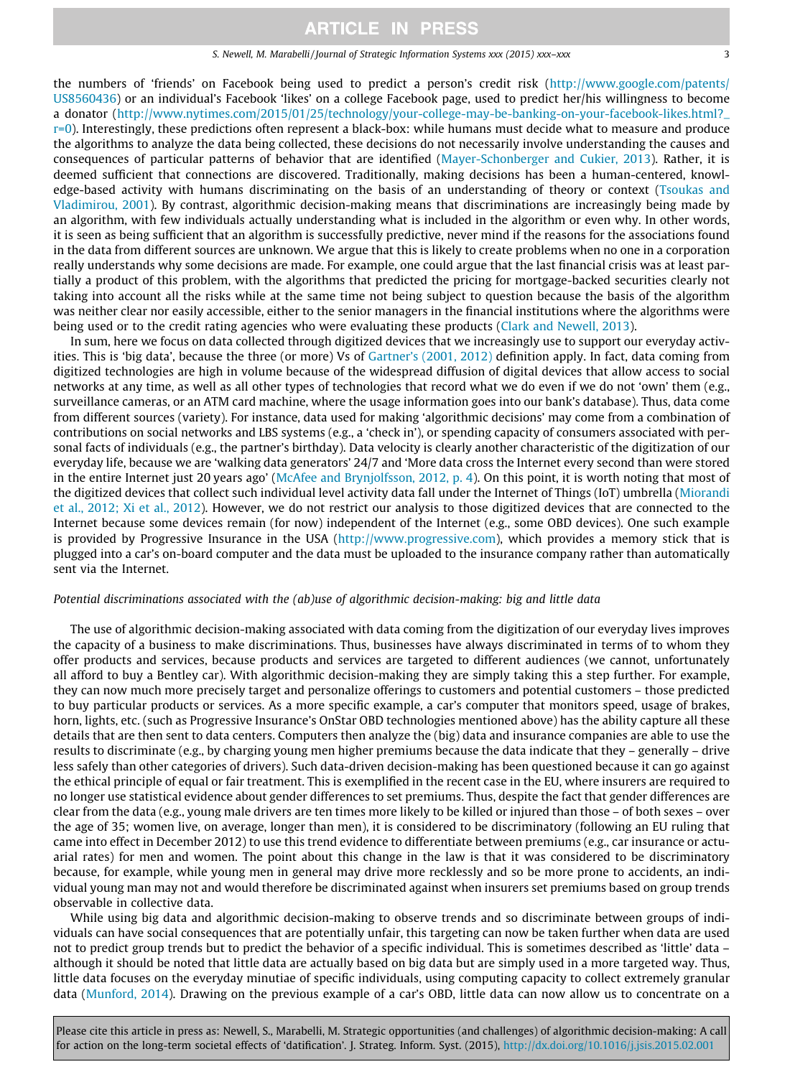the numbers of 'friends' on Facebook being used to predict a person's credit risk ([http://www.google.com/patents/](http://www.google.com/patents/US8560436) [US8560436](http://www.google.com/patents/US8560436)) or an individual's Facebook 'likes' on a college Facebook page, used to predict her/his willingness to become a donator ([http://www.nytimes.com/2015/01/25/technology/your-college-may-be-banking-on-your-facebook-likes.html?\\_](http://www.nytimes.com/2015/01/25/technology/your-college-may-be-banking-on-your-facebook-likes.html?_r=0)  $r=0$ ). Interestingly, these predictions often represent a black-box: while humans must decide what to measure and produce the algorithms to analyze the data being collected, these decisions do not necessarily involve understanding the causes and consequences of particular patterns of behavior that are identified [\(Mayer-Schonberger and Cukier, 2013\)](#page-11-0). Rather, it is deemed sufficient that connections are discovered. Traditionally, making decisions has been a human-centered, knowledge-based activity with humans discriminating on the basis of an understanding of theory or context ([Tsoukas and](#page-11-0) [Vladimirou, 2001](#page-11-0)). By contrast, algorithmic decision-making means that discriminations are increasingly being made by an algorithm, with few individuals actually understanding what is included in the algorithm or even why. In other words, it is seen as being sufficient that an algorithm is successfully predictive, never mind if the reasons for the associations found in the data from different sources are unknown. We argue that this is likely to create problems when no one in a corporation really understands why some decisions are made. For example, one could argue that the last financial crisis was at least partially a product of this problem, with the algorithms that predicted the pricing for mortgage-backed securities clearly not taking into account all the risks while at the same time not being subject to question because the basis of the algorithm was neither clear nor easily accessible, either to the senior managers in the financial institutions where the algorithms were being used or to the credit rating agencies who were evaluating these products [\(Clark and Newell, 2013](#page-10-0)).

In sum, here we focus on data collected through digitized devices that we increasingly use to support our everyday activities. This is 'big data', because the three (or more) Vs of [Gartner's \(2001, 2012\)](#page-11-0) definition apply. In fact, data coming from digitized technologies are high in volume because of the widespread diffusion of digital devices that allow access to social networks at any time, as well as all other types of technologies that record what we do even if we do not 'own' them (e.g., surveillance cameras, or an ATM card machine, where the usage information goes into our bank's database). Thus, data come from different sources (variety). For instance, data used for making 'algorithmic decisions' may come from a combination of contributions on social networks and LBS systems (e.g., a 'check in'), or spending capacity of consumers associated with personal facts of individuals (e.g., the partner's birthday). Data velocity is clearly another characteristic of the digitization of our everyday life, because we are 'walking data generators' 24/7 and 'More data cross the Internet every second than were stored in the entire Internet just 20 years ago' [\(McAfee and Brynjolfsson, 2012, p. 4](#page-11-0)). On this point, it is worth noting that most of the digitized devices that collect such individual level activity data fall under the Internet of Things (IoT) umbrella ([Miorandi](#page-11-0) [et al., 2012; Xi et al., 2012\)](#page-11-0). However, we do not restrict our analysis to those digitized devices that are connected to the Internet because some devices remain (for now) independent of the Internet (e.g., some OBD devices). One such example is provided by Progressive Insurance in the USA [\(http://www.progressive.com\)](http://www.progressive.com), which provides a memory stick that is plugged into a car's on-board computer and the data must be uploaded to the insurance company rather than automatically sent via the Internet.

## Potential discriminations associated with the (ab)use of algorithmic decision-making: big and little data

The use of algorithmic decision-making associated with data coming from the digitization of our everyday lives improves the capacity of a business to make discriminations. Thus, businesses have always discriminated in terms of to whom they offer products and services, because products and services are targeted to different audiences (we cannot, unfortunately all afford to buy a Bentley car). With algorithmic decision-making they are simply taking this a step further. For example, they can now much more precisely target and personalize offerings to customers and potential customers – those predicted to buy particular products or services. As a more specific example, a car's computer that monitors speed, usage of brakes, horn, lights, etc. (such as Progressive Insurance's OnStar OBD technologies mentioned above) has the ability capture all these details that are then sent to data centers. Computers then analyze the (big) data and insurance companies are able to use the results to discriminate (e.g., by charging young men higher premiums because the data indicate that they – generally – drive less safely than other categories of drivers). Such data-driven decision-making has been questioned because it can go against the ethical principle of equal or fair treatment. This is exemplified in the recent case in the EU, where insurers are required to no longer use statistical evidence about gender differences to set premiums. Thus, despite the fact that gender differences are clear from the data (e.g., young male drivers are ten times more likely to be killed or injured than those – of both sexes – over the age of 35; women live, on average, longer than men), it is considered to be discriminatory (following an EU ruling that came into effect in December 2012) to use this trend evidence to differentiate between premiums (e.g., car insurance or actuarial rates) for men and women. The point about this change in the law is that it was considered to be discriminatory because, for example, while young men in general may drive more recklessly and so be more prone to accidents, an individual young man may not and would therefore be discriminated against when insurers set premiums based on group trends observable in collective data.

While using big data and algorithmic decision-making to observe trends and so discriminate between groups of individuals can have social consequences that are potentially unfair, this targeting can now be taken further when data are used not to predict group trends but to predict the behavior of a specific individual. This is sometimes described as 'little' data – although it should be noted that little data are actually based on big data but are simply used in a more targeted way. Thus, little data focuses on the everyday minutiae of specific individuals, using computing capacity to collect extremely granular data [\(Munford, 2014](#page-11-0)). Drawing on the previous example of a car's OBD, little data can now allow us to concentrate on a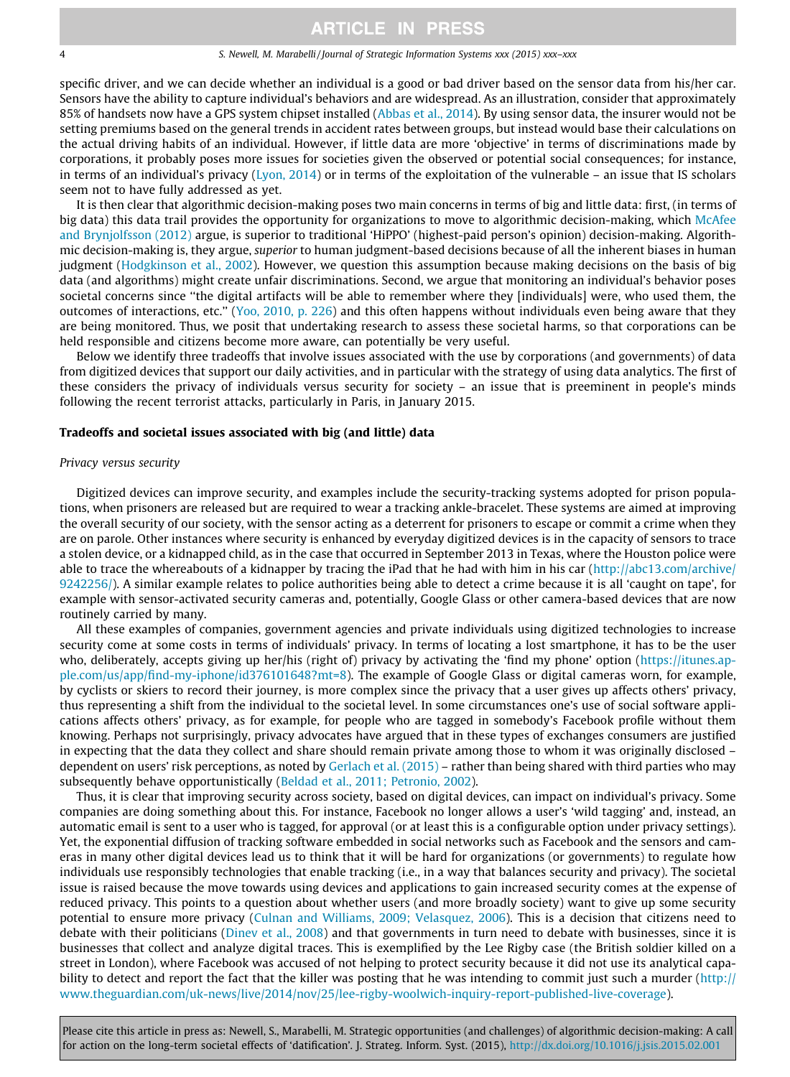#### 4 S. Newell, M. Marabelli / Journal of Strategic Information Systems xxx (2015) xxx–xxx

specific driver, and we can decide whether an individual is a good or bad driver based on the sensor data from his/her car. Sensors have the ability to capture individual's behaviors and are widespread. As an illustration, consider that approximately 85% of handsets now have a GPS system chipset installed [\(Abbas et al., 2014](#page-10-0)). By using sensor data, the insurer would not be setting premiums based on the general trends in accident rates between groups, but instead would base their calculations on the actual driving habits of an individual. However, if little data are more 'objective' in terms of discriminations made by corporations, it probably poses more issues for societies given the observed or potential social consequences; for instance, in terms of an individual's privacy ([Lyon, 2014](#page-11-0)) or in terms of the exploitation of the vulnerable – an issue that IS scholars seem not to have fully addressed as yet.

It is then clear that algorithmic decision-making poses two main concerns in terms of big and little data: first, (in terms of big data) this data trail provides the opportunity for organizations to move to algorithmic decision-making, which [McAfee](#page-11-0) [and Brynjolfsson \(2012\)](#page-11-0) argue, is superior to traditional 'HiPPO' (highest-paid person's opinion) decision-making. Algorithmic decision-making is, they argue, superior to human judgment-based decisions because of all the inherent biases in human judgment ([Hodgkinson et al., 2002](#page-11-0)). However, we question this assumption because making decisions on the basis of big data (and algorithms) might create unfair discriminations. Second, we argue that monitoring an individual's behavior poses societal concerns since ''the digital artifacts will be able to remember where they [individuals] were, who used them, the outcomes of interactions, etc.'' ([Yoo, 2010, p. 226](#page-11-0)) and this often happens without individuals even being aware that they are being monitored. Thus, we posit that undertaking research to assess these societal harms, so that corporations can be held responsible and citizens become more aware, can potentially be very useful.

Below we identify three tradeoffs that involve issues associated with the use by corporations (and governments) of data from digitized devices that support our daily activities, and in particular with the strategy of using data analytics. The first of these considers the privacy of individuals versus security for society – an issue that is preeminent in people's minds following the recent terrorist attacks, particularly in Paris, in January 2015.

### Tradeoffs and societal issues associated with big (and little) data

### Privacy versus security

Digitized devices can improve security, and examples include the security-tracking systems adopted for prison populations, when prisoners are released but are required to wear a tracking ankle-bracelet. These systems are aimed at improving the overall security of our society, with the sensor acting as a deterrent for prisoners to escape or commit a crime when they are on parole. Other instances where security is enhanced by everyday digitized devices is in the capacity of sensors to trace a stolen device, or a kidnapped child, as in the case that occurred in September 2013 in Texas, where the Houston police were able to trace the whereabouts of a kidnapper by tracing the iPad that he had with him in his car ([http://abc13.com/archive/](http://abc13.com/archive/9242256/) [9242256/](http://abc13.com/archive/9242256/)). A similar example relates to police authorities being able to detect a crime because it is all 'caught on tape', for example with sensor-activated security cameras and, potentially, Google Glass or other camera-based devices that are now routinely carried by many.

All these examples of companies, government agencies and private individuals using digitized technologies to increase security come at some costs in terms of individuals' privacy. In terms of locating a lost smartphone, it has to be the user who, deliberately, accepts giving up her/his (right of) privacy by activating the 'find my phone' option [\(https://itunes.ap](https://itunes.apple.com/us/app/find-my-iphone/id376101648?mt=8)[ple.com/us/app/find-my-iphone/id376101648?mt=8\)](https://itunes.apple.com/us/app/find-my-iphone/id376101648?mt=8). The example of Google Glass or digital cameras worn, for example, by cyclists or skiers to record their journey, is more complex since the privacy that a user gives up affects others' privacy, thus representing a shift from the individual to the societal level. In some circumstances one's use of social software applications affects others' privacy, as for example, for people who are tagged in somebody's Facebook profile without them knowing. Perhaps not surprisingly, privacy advocates have argued that in these types of exchanges consumers are justified in expecting that the data they collect and share should remain private among those to whom it was originally disclosed – dependent on users' risk perceptions, as noted by [Gerlach et al. \(2015\)](#page-11-0) – rather than being shared with third parties who may subsequently behave opportunistically ([Beldad et al., 2011; Petronio, 2002\)](#page-10-0).

Thus, it is clear that improving security across society, based on digital devices, can impact on individual's privacy. Some companies are doing something about this. For instance, Facebook no longer allows a user's 'wild tagging' and, instead, an automatic email is sent to a user who is tagged, for approval (or at least this is a configurable option under privacy settings). Yet, the exponential diffusion of tracking software embedded in social networks such as Facebook and the sensors and cameras in many other digital devices lead us to think that it will be hard for organizations (or governments) to regulate how individuals use responsibly technologies that enable tracking (i.e., in a way that balances security and privacy). The societal issue is raised because the move towards using devices and applications to gain increased security comes at the expense of reduced privacy. This points to a question about whether users (and more broadly society) want to give up some security potential to ensure more privacy [\(Culnan and Williams, 2009; Velasquez, 2006\)](#page-10-0). This is a decision that citizens need to debate with their politicians ([Dinev et al., 2008\)](#page-10-0) and that governments in turn need to debate with businesses, since it is businesses that collect and analyze digital traces. This is exemplified by the Lee Rigby case (the British soldier killed on a street in London), where Facebook was accused of not helping to protect security because it did not use its analytical capability to detect and report the fact that the killer was posting that he was intending to commit just such a murder ([http://](http://www.theguardian.com/uk-news/live/2014/nov/25/lee-rigby-woolwich-inquiry-report-published-live-coverage) [www.theguardian.com/uk-news/live/2014/nov/25/lee-rigby-woolwich-inquiry-report-published-live-coverage](http://www.theguardian.com/uk-news/live/2014/nov/25/lee-rigby-woolwich-inquiry-report-published-live-coverage)).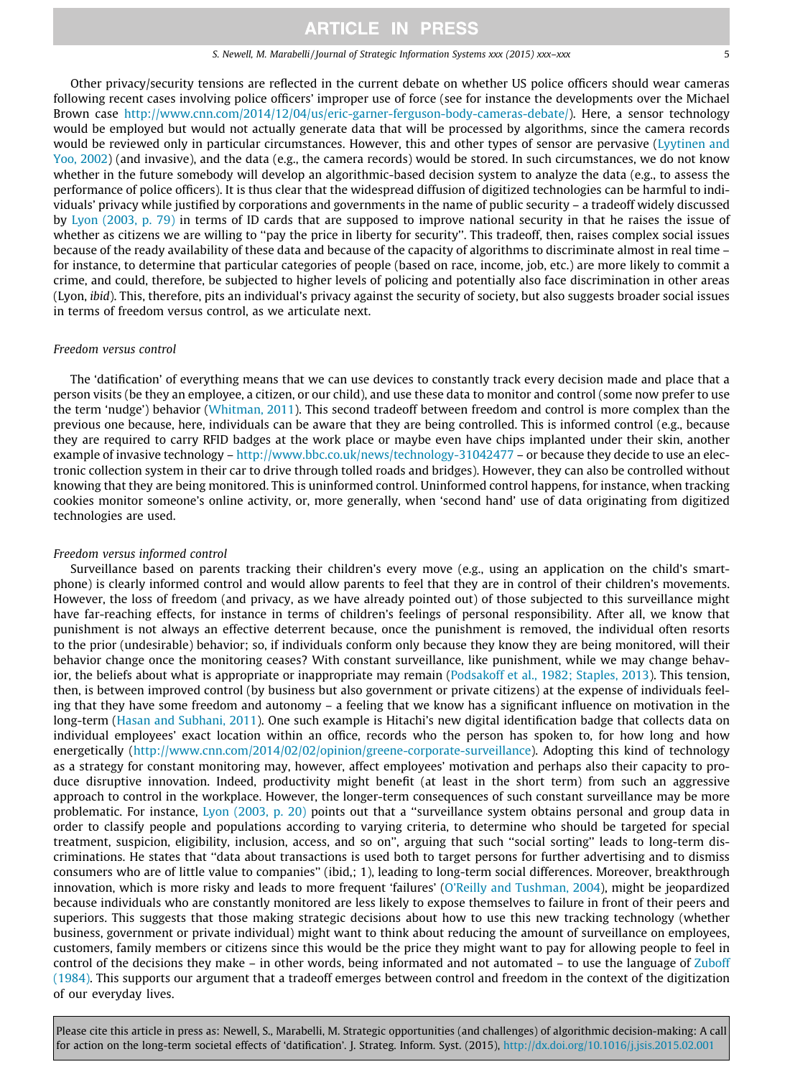#### S. Newell, M. Marabelli / Journal of Strategic Information Systems xxx (2015) xxx–xxx 5

Other privacy/security tensions are reflected in the current debate on whether US police officers should wear cameras following recent cases involving police officers' improper use of force (see for instance the developments over the Michael Brown case <http://www.cnn.com/2014/12/04/us/eric-garner-ferguson-body-cameras-debate/>). Here, a sensor technology would be employed but would not actually generate data that will be processed by algorithms, since the camera records would be reviewed only in particular circumstances. However, this and other types of sensor are pervasive [\(Lyytinen and](#page-11-0) [Yoo, 2002](#page-11-0)) (and invasive), and the data (e.g., the camera records) would be stored. In such circumstances, we do not know whether in the future somebody will develop an algorithmic-based decision system to analyze the data (e.g., to assess the performance of police officers). It is thus clear that the widespread diffusion of digitized technologies can be harmful to individuals' privacy while justified by corporations and governments in the name of public security – a tradeoff widely discussed by [Lyon \(2003, p. 79\)](#page-11-0) in terms of ID cards that are supposed to improve national security in that he raises the issue of whether as citizens we are willing to "pay the price in liberty for security". This tradeoff, then, raises complex social issues because of the ready availability of these data and because of the capacity of algorithms to discriminate almost in real time – for instance, to determine that particular categories of people (based on race, income, job, etc.) are more likely to commit a crime, and could, therefore, be subjected to higher levels of policing and potentially also face discrimination in other areas (Lyon, ibid). This, therefore, pits an individual's privacy against the security of society, but also suggests broader social issues in terms of freedom versus control, as we articulate next.

### Freedom versus control

The 'datification' of everything means that we can use devices to constantly track every decision made and place that a person visits (be they an employee, a citizen, or our child), and use these data to monitor and control (some now prefer to use the term 'nudge') behavior ([Whitman, 2011](#page-11-0)). This second tradeoff between freedom and control is more complex than the previous one because, here, individuals can be aware that they are being controlled. This is informed control (e.g., because they are required to carry RFID badges at the work place or maybe even have chips implanted under their skin, another example of invasive technology – <http://www.bbc.co.uk/news/technology-31042477> – or because they decide to use an electronic collection system in their car to drive through tolled roads and bridges). However, they can also be controlled without knowing that they are being monitored. This is uninformed control. Uninformed control happens, for instance, when tracking cookies monitor someone's online activity, or, more generally, when 'second hand' use of data originating from digitized technologies are used.

### Freedom versus informed control

Surveillance based on parents tracking their children's every move (e.g., using an application on the child's smartphone) is clearly informed control and would allow parents to feel that they are in control of their children's movements. However, the loss of freedom (and privacy, as we have already pointed out) of those subjected to this surveillance might have far-reaching effects, for instance in terms of children's feelings of personal responsibility. After all, we know that punishment is not always an effective deterrent because, once the punishment is removed, the individual often resorts to the prior (undesirable) behavior; so, if individuals conform only because they know they are being monitored, will their behavior change once the monitoring ceases? With constant surveillance, like punishment, while we may change behavior, the beliefs about what is appropriate or inappropriate may remain ([Podsakoff et al., 1982; Staples, 2013\)](#page-11-0). This tension, then, is between improved control (by business but also government or private citizens) at the expense of individuals feeling that they have some freedom and autonomy – a feeling that we know has a significant influence on motivation in the long-term ([Hasan and Subhani, 2011](#page-11-0)). One such example is Hitachi's new digital identification badge that collects data on individual employees' exact location within an office, records who the person has spoken to, for how long and how energetically [\(http://www.cnn.com/2014/02/02/opinion/greene-corporate-surveillance](http://www.cnn.com/2014/02/02/opinion/greene-corporate-surveillance)). Adopting this kind of technology as a strategy for constant monitoring may, however, affect employees' motivation and perhaps also their capacity to produce disruptive innovation. Indeed, productivity might benefit (at least in the short term) from such an aggressive approach to control in the workplace. However, the longer-term consequences of such constant surveillance may be more problematic. For instance, [Lyon \(2003, p. 20\)](#page-11-0) points out that a ''surveillance system obtains personal and group data in order to classify people and populations according to varying criteria, to determine who should be targeted for special treatment, suspicion, eligibility, inclusion, access, and so on'', arguing that such ''social sorting'' leads to long-term discriminations. He states that ''data about transactions is used both to target persons for further advertising and to dismiss consumers who are of little value to companies'' (ibid,; 1), leading to long-term social differences. Moreover, breakthrough innovation, which is more risky and leads to more frequent 'failures' ([O'Reilly and Tushman, 2004\)](#page-11-0), might be jeopardized because individuals who are constantly monitored are less likely to expose themselves to failure in front of their peers and superiors. This suggests that those making strategic decisions about how to use this new tracking technology (whether business, government or private individual) might want to think about reducing the amount of surveillance on employees, customers, family members or citizens since this would be the price they might want to pay for allowing people to feel in control of the decisions they make – in other words, being informated and not automated – to use the language of [Zuboff](#page-11-0) [\(1984\).](#page-11-0) This supports our argument that a tradeoff emerges between control and freedom in the context of the digitization of our everyday lives.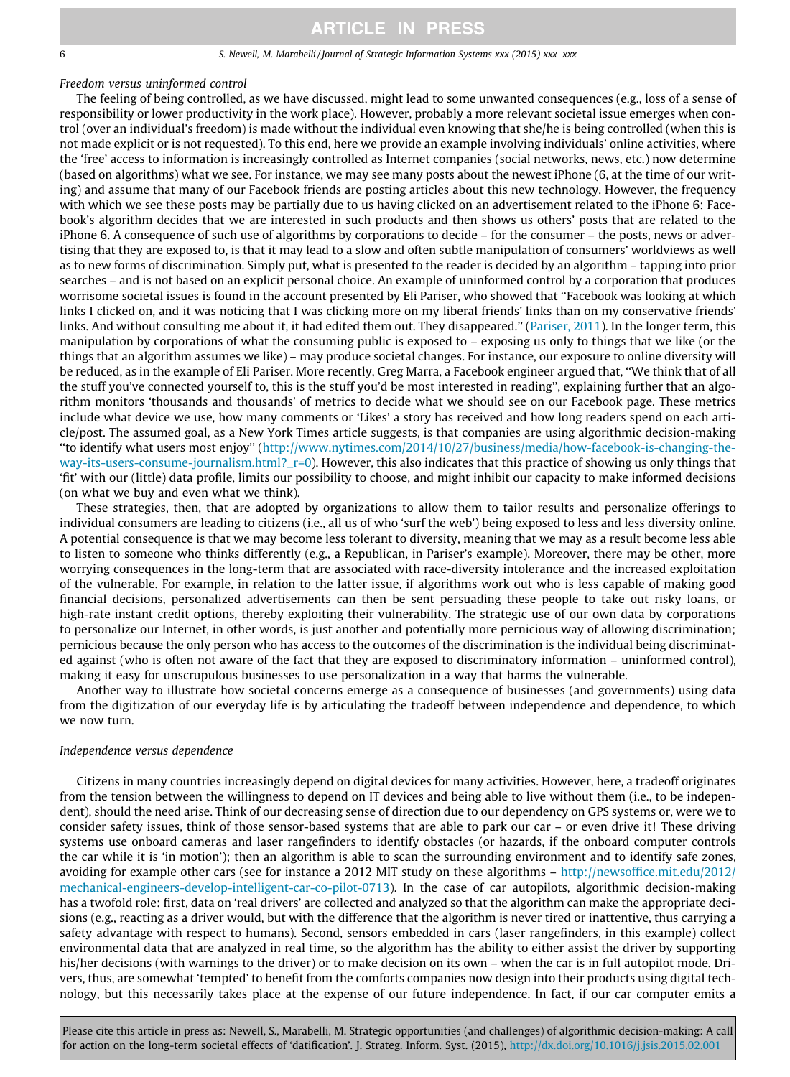6 S. Newell, M. Marabelli / Journal of Strategic Information Systems xxx (2015) xxx–xxx

## Freedom versus uninformed control

The feeling of being controlled, as we have discussed, might lead to some unwanted consequences (e.g., loss of a sense of responsibility or lower productivity in the work place). However, probably a more relevant societal issue emerges when control (over an individual's freedom) is made without the individual even knowing that she/he is being controlled (when this is not made explicit or is not requested). To this end, here we provide an example involving individuals' online activities, where the 'free' access to information is increasingly controlled as Internet companies (social networks, news, etc.) now determine (based on algorithms) what we see. For instance, we may see many posts about the newest iPhone (6, at the time of our writing) and assume that many of our Facebook friends are posting articles about this new technology. However, the frequency with which we see these posts may be partially due to us having clicked on an advertisement related to the iPhone 6: Facebook's algorithm decides that we are interested in such products and then shows us others' posts that are related to the iPhone 6. A consequence of such use of algorithms by corporations to decide – for the consumer – the posts, news or advertising that they are exposed to, is that it may lead to a slow and often subtle manipulation of consumers' worldviews as well as to new forms of discrimination. Simply put, what is presented to the reader is decided by an algorithm – tapping into prior searches – and is not based on an explicit personal choice. An example of uninformed control by a corporation that produces worrisome societal issues is found in the account presented by Eli Pariser, who showed that ''Facebook was looking at which links I clicked on, and it was noticing that I was clicking more on my liberal friends' links than on my conservative friends' links. And without consulting me about it, it had edited them out. They disappeared.'' ([Pariser, 2011](#page-11-0)). In the longer term, this manipulation by corporations of what the consuming public is exposed to – exposing us only to things that we like (or the things that an algorithm assumes we like) – may produce societal changes. For instance, our exposure to online diversity will be reduced, as in the example of Eli Pariser. More recently, Greg Marra, a Facebook engineer argued that, ''We think that of all the stuff you've connected yourself to, this is the stuff you'd be most interested in reading'', explaining further that an algorithm monitors 'thousands and thousands' of metrics to decide what we should see on our Facebook page. These metrics include what device we use, how many comments or 'Likes' a story has received and how long readers spend on each article/post. The assumed goal, as a New York Times article suggests, is that companies are using algorithmic decision-making ''to identify what users most enjoy'' [\(http://www.nytimes.com/2014/10/27/business/media/how-facebook-is-changing-the](http://www.nytimes.com/2014/10/27/business/media/how-facebook-is-changing-the-way-its-users-consume-journalism.html?_r=0)[way-its-users-consume-journalism.html?\\_r=0\)](http://www.nytimes.com/2014/10/27/business/media/how-facebook-is-changing-the-way-its-users-consume-journalism.html?_r=0). However, this also indicates that this practice of showing us only things that 'fit' with our (little) data profile, limits our possibility to choose, and might inhibit our capacity to make informed decisions (on what we buy and even what we think).

These strategies, then, that are adopted by organizations to allow them to tailor results and personalize offerings to individual consumers are leading to citizens (i.e., all us of who 'surf the web') being exposed to less and less diversity online. A potential consequence is that we may become less tolerant to diversity, meaning that we may as a result become less able to listen to someone who thinks differently (e.g., a Republican, in Pariser's example). Moreover, there may be other, more worrying consequences in the long-term that are associated with race-diversity intolerance and the increased exploitation of the vulnerable. For example, in relation to the latter issue, if algorithms work out who is less capable of making good financial decisions, personalized advertisements can then be sent persuading these people to take out risky loans, or high-rate instant credit options, thereby exploiting their vulnerability. The strategic use of our own data by corporations to personalize our Internet, in other words, is just another and potentially more pernicious way of allowing discrimination; pernicious because the only person who has access to the outcomes of the discrimination is the individual being discriminated against (who is often not aware of the fact that they are exposed to discriminatory information – uninformed control), making it easy for unscrupulous businesses to use personalization in a way that harms the vulnerable.

Another way to illustrate how societal concerns emerge as a consequence of businesses (and governments) using data from the digitization of our everyday life is by articulating the tradeoff between independence and dependence, to which we now turn.

## Independence versus dependence

Citizens in many countries increasingly depend on digital devices for many activities. However, here, a tradeoff originates from the tension between the willingness to depend on IT devices and being able to live without them (i.e., to be independent), should the need arise. Think of our decreasing sense of direction due to our dependency on GPS systems or, were we to consider safety issues, think of those sensor-based systems that are able to park our car – or even drive it! These driving systems use onboard cameras and laser rangefinders to identify obstacles (or hazards, if the onboard computer controls the car while it is 'in motion'); then an algorithm is able to scan the surrounding environment and to identify safe zones, avoiding for example other cars (see for instance a 2012 MIT study on these algorithms – [http://newsoffice.mit.edu/2012/](http://newsoffice.mit.edu/2012/mechanical-engineers-develop-intelligent-car-co-pilot-0713) [mechanical-engineers-develop-intelligent-car-co-pilot-0713\)](http://newsoffice.mit.edu/2012/mechanical-engineers-develop-intelligent-car-co-pilot-0713). In the case of car autopilots, algorithmic decision-making has a twofold role: first, data on 'real drivers' are collected and analyzed so that the algorithm can make the appropriate decisions (e.g., reacting as a driver would, but with the difference that the algorithm is never tired or inattentive, thus carrying a safety advantage with respect to humans). Second, sensors embedded in cars (laser rangefinders, in this example) collect environmental data that are analyzed in real time, so the algorithm has the ability to either assist the driver by supporting his/her decisions (with warnings to the driver) or to make decision on its own – when the car is in full autopilot mode. Drivers, thus, are somewhat 'tempted' to benefit from the comforts companies now design into their products using digital technology, but this necessarily takes place at the expense of our future independence. In fact, if our car computer emits a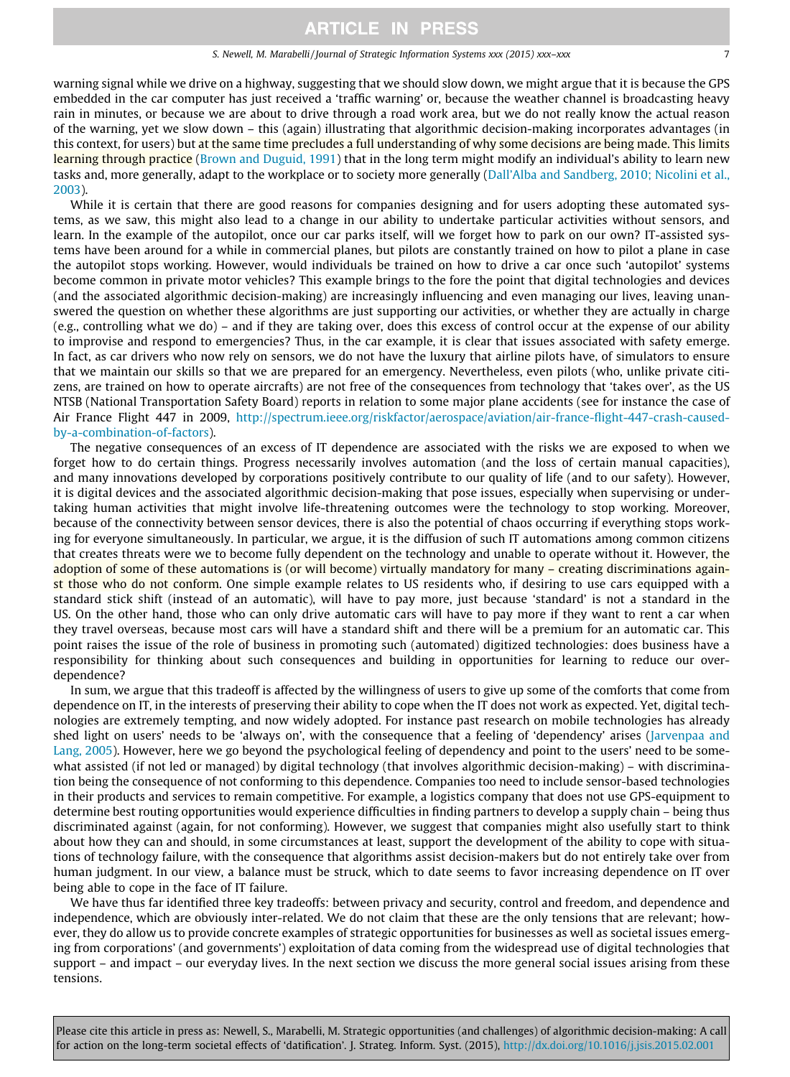warning signal while we drive on a highway, suggesting that we should slow down, we might argue that it is because the GPS embedded in the car computer has just received a 'traffic warning' or, because the weather channel is broadcasting heavy rain in minutes, or because we are about to drive through a road work area, but we do not really know the actual reason of the warning, yet we slow down – this (again) illustrating that algorithmic decision-making incorporates advantages (in this context, for users) but at the same time precludes a full understanding of why some decisions are being made. This limits learning through practice ([Brown and Duguid, 1991\)](#page-10-0) that in the long term might modify an individual's ability to learn new tasks and, more generally, adapt to the workplace or to society more generally [\(Dall'Alba and Sandberg, 2010; Nicolini et al.,](#page-10-0) [2003\)](#page-10-0).

While it is certain that there are good reasons for companies designing and for users adopting these automated systems, as we saw, this might also lead to a change in our ability to undertake particular activities without sensors, and learn. In the example of the autopilot, once our car parks itself, will we forget how to park on our own? IT-assisted systems have been around for a while in commercial planes, but pilots are constantly trained on how to pilot a plane in case the autopilot stops working. However, would individuals be trained on how to drive a car once such 'autopilot' systems become common in private motor vehicles? This example brings to the fore the point that digital technologies and devices (and the associated algorithmic decision-making) are increasingly influencing and even managing our lives, leaving unanswered the question on whether these algorithms are just supporting our activities, or whether they are actually in charge (e.g., controlling what we do) – and if they are taking over, does this excess of control occur at the expense of our ability to improvise and respond to emergencies? Thus, in the car example, it is clear that issues associated with safety emerge. In fact, as car drivers who now rely on sensors, we do not have the luxury that airline pilots have, of simulators to ensure that we maintain our skills so that we are prepared for an emergency. Nevertheless, even pilots (who, unlike private citizens, are trained on how to operate aircrafts) are not free of the consequences from technology that 'takes over', as the US NTSB (National Transportation Safety Board) reports in relation to some major plane accidents (see for instance the case of Air France Flight 447 in 2009, [http://spectrum.ieee.org/riskfactor/aerospace/aviation/air-france-flight-447-crash-caused](http://spectrum.ieee.org/riskfactor/aerospace/aviation/air-france-flight-447-crash-caused-by-a-combination-of-factors)[by-a-combination-of-factors](http://spectrum.ieee.org/riskfactor/aerospace/aviation/air-france-flight-447-crash-caused-by-a-combination-of-factors)).

The negative consequences of an excess of IT dependence are associated with the risks we are exposed to when we forget how to do certain things. Progress necessarily involves automation (and the loss of certain manual capacities), and many innovations developed by corporations positively contribute to our quality of life (and to our safety). However, it is digital devices and the associated algorithmic decision-making that pose issues, especially when supervising or undertaking human activities that might involve life-threatening outcomes were the technology to stop working. Moreover, because of the connectivity between sensor devices, there is also the potential of chaos occurring if everything stops working for everyone simultaneously. In particular, we argue, it is the diffusion of such IT automations among common citizens that creates threats were we to become fully dependent on the technology and unable to operate without it. However, the adoption of some of these automations is (or will become) virtually mandatory for many – creating discriminations against those who do not conform. One simple example relates to US residents who, if desiring to use cars equipped with a standard stick shift (instead of an automatic), will have to pay more, just because 'standard' is not a standard in the US. On the other hand, those who can only drive automatic cars will have to pay more if they want to rent a car when they travel overseas, because most cars will have a standard shift and there will be a premium for an automatic car. This point raises the issue of the role of business in promoting such (automated) digitized technologies: does business have a responsibility for thinking about such consequences and building in opportunities for learning to reduce our overdependence?

In sum, we argue that this tradeoff is affected by the willingness of users to give up some of the comforts that come from dependence on IT, in the interests of preserving their ability to cope when the IT does not work as expected. Yet, digital technologies are extremely tempting, and now widely adopted. For instance past research on mobile technologies has already shed light on users' needs to be 'always on', with the consequence that a feeling of 'dependency' arises ([Jarvenpaa and](#page-11-0) [Lang, 2005\)](#page-11-0). However, here we go beyond the psychological feeling of dependency and point to the users' need to be somewhat assisted (if not led or managed) by digital technology (that involves algorithmic decision-making) – with discrimination being the consequence of not conforming to this dependence. Companies too need to include sensor-based technologies in their products and services to remain competitive. For example, a logistics company that does not use GPS-equipment to determine best routing opportunities would experience difficulties in finding partners to develop a supply chain – being thus discriminated against (again, for not conforming). However, we suggest that companies might also usefully start to think about how they can and should, in some circumstances at least, support the development of the ability to cope with situations of technology failure, with the consequence that algorithms assist decision-makers but do not entirely take over from human judgment. In our view, a balance must be struck, which to date seems to favor increasing dependence on IT over being able to cope in the face of IT failure.

We have thus far identified three key tradeoffs: between privacy and security, control and freedom, and dependence and independence, which are obviously inter-related. We do not claim that these are the only tensions that are relevant; however, they do allow us to provide concrete examples of strategic opportunities for businesses as well as societal issues emerging from corporations' (and governments') exploitation of data coming from the widespread use of digital technologies that support – and impact – our everyday lives. In the next section we discuss the more general social issues arising from these tensions.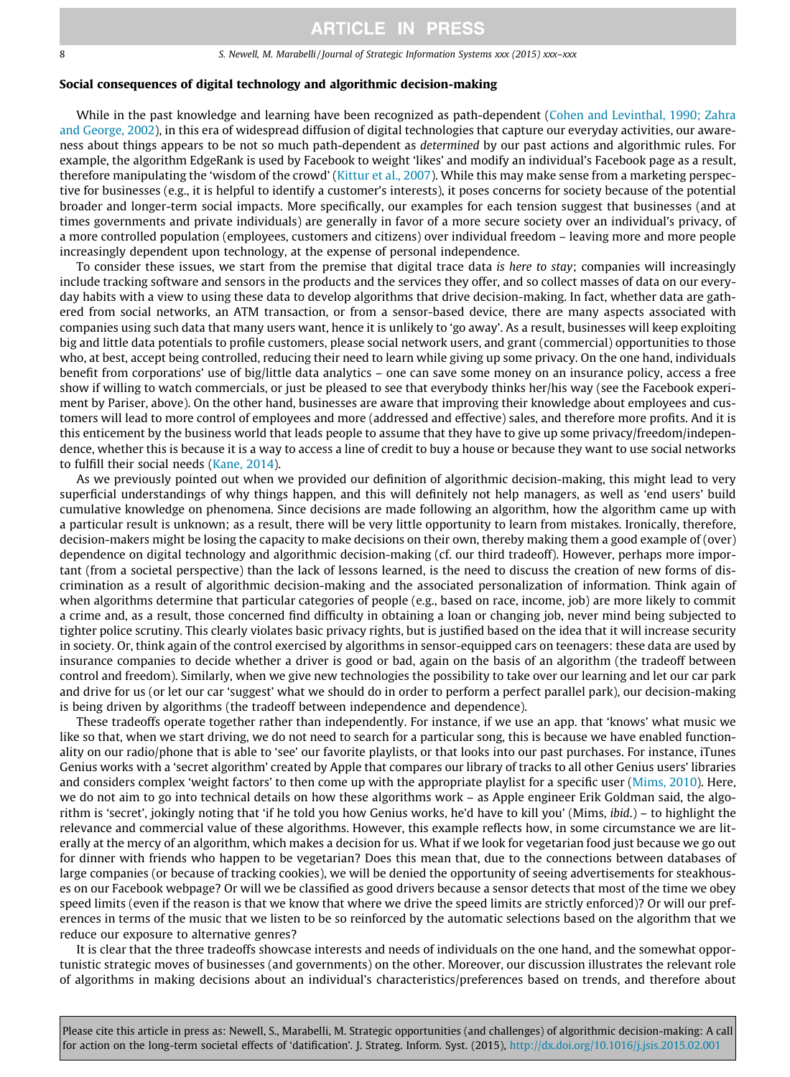8 S. Newell, M. Marabelli / Journal of Strategic Information Systems xxx (2015) xxx–xxx

## Social consequences of digital technology and algorithmic decision-making

While in the past knowledge and learning have been recognized as path-dependent ([Cohen and Levinthal, 1990; Zahra](#page-10-0) [and George, 2002\)](#page-10-0), in this era of widespread diffusion of digital technologies that capture our everyday activities, our awareness about things appears to be not so much path-dependent as determined by our past actions and algorithmic rules. For example, the algorithm EdgeRank is used by Facebook to weight 'likes' and modify an individual's Facebook page as a result, therefore manipulating the 'wisdom of the crowd' [\(Kittur et al., 2007](#page-11-0)). While this may make sense from a marketing perspective for businesses (e.g., it is helpful to identify a customer's interests), it poses concerns for society because of the potential broader and longer-term social impacts. More specifically, our examples for each tension suggest that businesses (and at times governments and private individuals) are generally in favor of a more secure society over an individual's privacy, of a more controlled population (employees, customers and citizens) over individual freedom – leaving more and more people increasingly dependent upon technology, at the expense of personal independence.

To consider these issues, we start from the premise that digital trace data is here to stay; companies will increasingly include tracking software and sensors in the products and the services they offer, and so collect masses of data on our everyday habits with a view to using these data to develop algorithms that drive decision-making. In fact, whether data are gathered from social networks, an ATM transaction, or from a sensor-based device, there are many aspects associated with companies using such data that many users want, hence it is unlikely to 'go away'. As a result, businesses will keep exploiting big and little data potentials to profile customers, please social network users, and grant (commercial) opportunities to those who, at best, accept being controlled, reducing their need to learn while giving up some privacy. On the one hand, individuals benefit from corporations' use of big/little data analytics – one can save some money on an insurance policy, access a free show if willing to watch commercials, or just be pleased to see that everybody thinks her/his way (see the Facebook experiment by Pariser, above). On the other hand, businesses are aware that improving their knowledge about employees and customers will lead to more control of employees and more (addressed and effective) sales, and therefore more profits. And it is this enticement by the business world that leads people to assume that they have to give up some privacy/freedom/independence, whether this is because it is a way to access a line of credit to buy a house or because they want to use social networks to fulfill their social needs ([Kane, 2014\)](#page-11-0).

As we previously pointed out when we provided our definition of algorithmic decision-making, this might lead to very superficial understandings of why things happen, and this will definitely not help managers, as well as 'end users' build cumulative knowledge on phenomena. Since decisions are made following an algorithm, how the algorithm came up with a particular result is unknown; as a result, there will be very little opportunity to learn from mistakes. Ironically, therefore, decision-makers might be losing the capacity to make decisions on their own, thereby making them a good example of (over) dependence on digital technology and algorithmic decision-making (cf. our third tradeoff). However, perhaps more important (from a societal perspective) than the lack of lessons learned, is the need to discuss the creation of new forms of discrimination as a result of algorithmic decision-making and the associated personalization of information. Think again of when algorithms determine that particular categories of people (e.g., based on race, income, job) are more likely to commit a crime and, as a result, those concerned find difficulty in obtaining a loan or changing job, never mind being subjected to tighter police scrutiny. This clearly violates basic privacy rights, but is justified based on the idea that it will increase security in society. Or, think again of the control exercised by algorithms in sensor-equipped cars on teenagers: these data are used by insurance companies to decide whether a driver is good or bad, again on the basis of an algorithm (the tradeoff between control and freedom). Similarly, when we give new technologies the possibility to take over our learning and let our car park and drive for us (or let our car 'suggest' what we should do in order to perform a perfect parallel park), our decision-making is being driven by algorithms (the tradeoff between independence and dependence).

These tradeoffs operate together rather than independently. For instance, if we use an app. that 'knows' what music we like so that, when we start driving, we do not need to search for a particular song, this is because we have enabled functionality on our radio/phone that is able to 'see' our favorite playlists, or that looks into our past purchases. For instance, iTunes Genius works with a 'secret algorithm' created by Apple that compares our library of tracks to all other Genius users' libraries and considers complex 'weight factors' to then come up with the appropriate playlist for a specific user ([Mims, 2010](#page-11-0)). Here, we do not aim to go into technical details on how these algorithms work – as Apple engineer Erik Goldman said, the algorithm is 'secret', jokingly noting that 'if he told you how Genius works, he'd have to kill you' (Mims, ibid.) – to highlight the relevance and commercial value of these algorithms. However, this example reflects how, in some circumstance we are literally at the mercy of an algorithm, which makes a decision for us. What if we look for vegetarian food just because we go out for dinner with friends who happen to be vegetarian? Does this mean that, due to the connections between databases of large companies (or because of tracking cookies), we will be denied the opportunity of seeing advertisements for steakhouses on our Facebook webpage? Or will we be classified as good drivers because a sensor detects that most of the time we obey speed limits (even if the reason is that we know that where we drive the speed limits are strictly enforced)? Or will our preferences in terms of the music that we listen to be so reinforced by the automatic selections based on the algorithm that we reduce our exposure to alternative genres?

It is clear that the three tradeoffs showcase interests and needs of individuals on the one hand, and the somewhat opportunistic strategic moves of businesses (and governments) on the other. Moreover, our discussion illustrates the relevant role of algorithms in making decisions about an individual's characteristics/preferences based on trends, and therefore about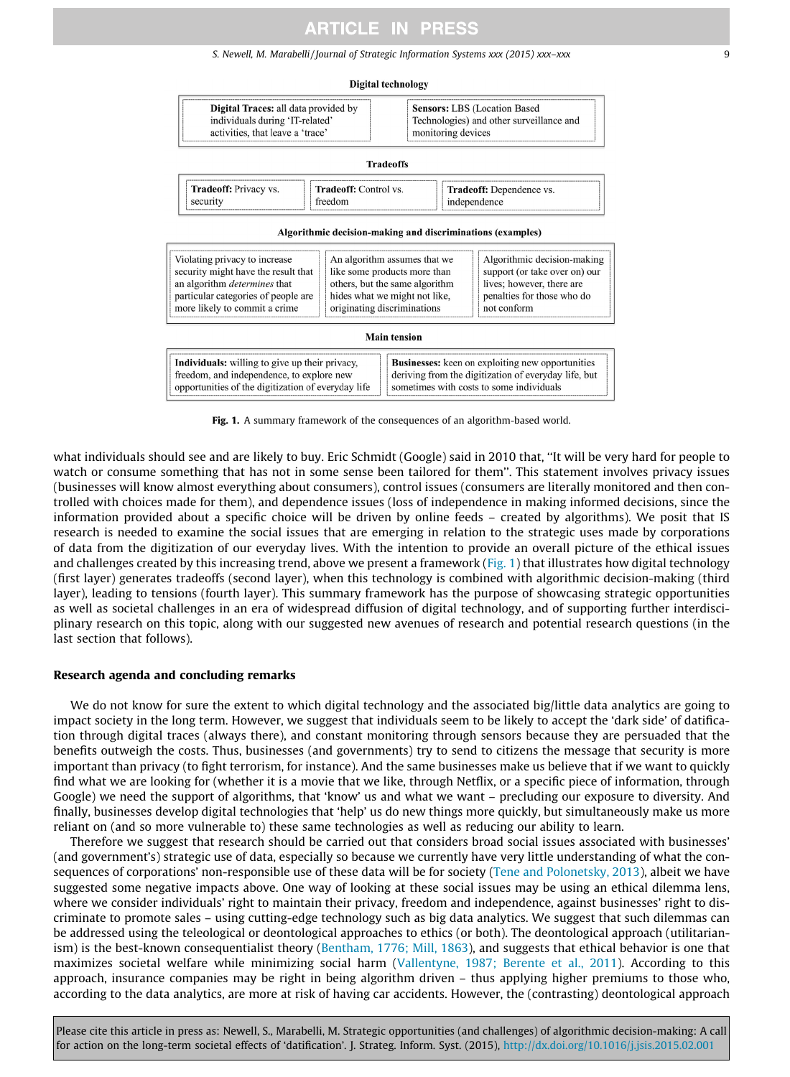S. Newell, M. Marabelli / Journal of Strategic Information Systems xxx (2015) xxx–xxx 9



Fig. 1. A summary framework of the consequences of an algorithm-based world.

what individuals should see and are likely to buy. Eric Schmidt (Google) said in 2010 that, ''It will be very hard for people to watch or consume something that has not in some sense been tailored for them''. This statement involves privacy issues (businesses will know almost everything about consumers), control issues (consumers are literally monitored and then controlled with choices made for them), and dependence issues (loss of independence in making informed decisions, since the information provided about a specific choice will be driven by online feeds – created by algorithms). We posit that IS research is needed to examine the social issues that are emerging in relation to the strategic uses made by corporations of data from the digitization of our everyday lives. With the intention to provide an overall picture of the ethical issues and challenges created by this increasing trend, above we present a framework (Fig. 1) that illustrates how digital technology (first layer) generates tradeoffs (second layer), when this technology is combined with algorithmic decision-making (third layer), leading to tensions (fourth layer). This summary framework has the purpose of showcasing strategic opportunities as well as societal challenges in an era of widespread diffusion of digital technology, and of supporting further interdisciplinary research on this topic, along with our suggested new avenues of research and potential research questions (in the last section that follows).

## Research agenda and concluding remarks

We do not know for sure the extent to which digital technology and the associated big/little data analytics are going to impact society in the long term. However, we suggest that individuals seem to be likely to accept the 'dark side' of datification through digital traces (always there), and constant monitoring through sensors because they are persuaded that the benefits outweigh the costs. Thus, businesses (and governments) try to send to citizens the message that security is more important than privacy (to fight terrorism, for instance). And the same businesses make us believe that if we want to quickly find what we are looking for (whether it is a movie that we like, through Netflix, or a specific piece of information, through Google) we need the support of algorithms, that 'know' us and what we want – precluding our exposure to diversity. And finally, businesses develop digital technologies that 'help' us do new things more quickly, but simultaneously make us more reliant on (and so more vulnerable to) these same technologies as well as reducing our ability to learn.

Therefore we suggest that research should be carried out that considers broad social issues associated with businesses' (and government's) strategic use of data, especially so because we currently have very little understanding of what the consequences of corporations' non-responsible use of these data will be for society [\(Tene and Polonetsky, 2013](#page-11-0)), albeit we have suggested some negative impacts above. One way of looking at these social issues may be using an ethical dilemma lens, where we consider individuals' right to maintain their privacy, freedom and independence, against businesses' right to discriminate to promote sales – using cutting-edge technology such as big data analytics. We suggest that such dilemmas can be addressed using the teleological or deontological approaches to ethics (or both). The deontological approach (utilitarianism) is the best-known consequentialist theory ([Bentham, 1776; Mill, 1863\)](#page-10-0), and suggests that ethical behavior is one that maximizes societal welfare while minimizing social harm ([Vallentyne, 1987; Berente et al., 2011\)](#page-11-0). According to this approach, insurance companies may be right in being algorithm driven – thus applying higher premiums to those who, according to the data analytics, are more at risk of having car accidents. However, the (contrasting) deontological approach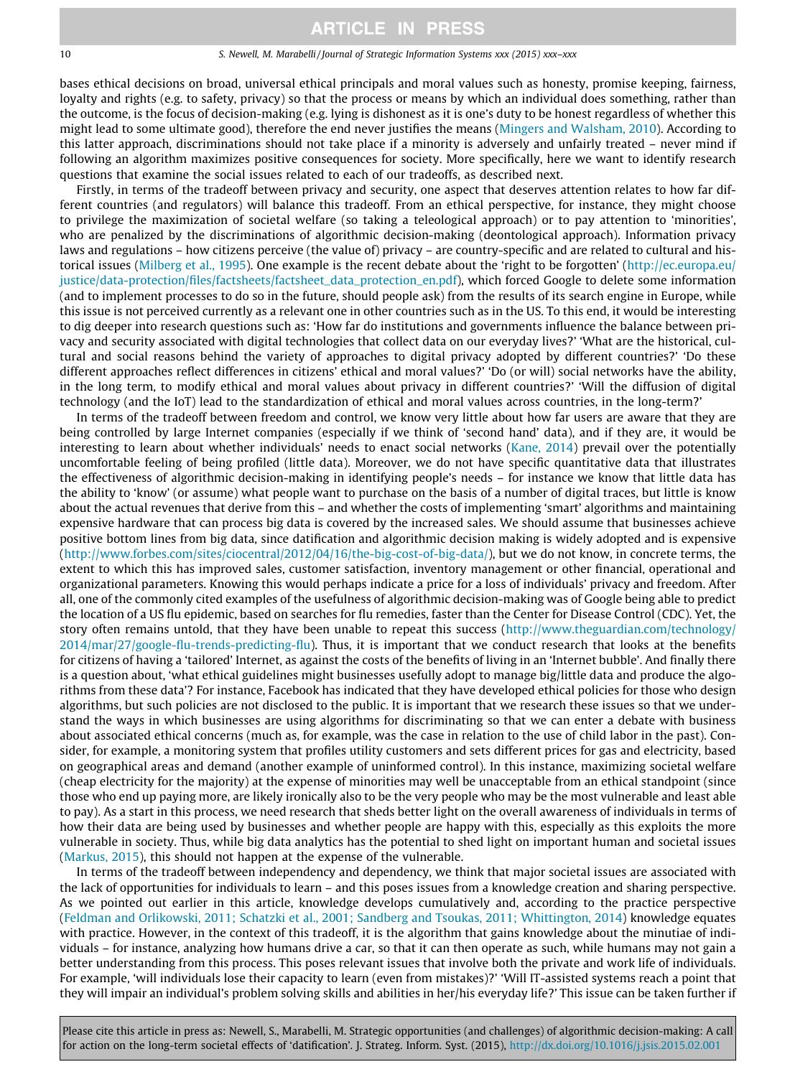### 10 S. Newell, M. Marabelli / Journal of Strategic Information Systems xxx (2015) xxx–xxx

bases ethical decisions on broad, universal ethical principals and moral values such as honesty, promise keeping, fairness, loyalty and rights (e.g. to safety, privacy) so that the process or means by which an individual does something, rather than the outcome, is the focus of decision-making (e.g. lying is dishonest as it is one's duty to be honest regardless of whether this might lead to some ultimate good), therefore the end never justifies the means [\(Mingers and Walsham, 2010](#page-11-0)). According to this latter approach, discriminations should not take place if a minority is adversely and unfairly treated – never mind if following an algorithm maximizes positive consequences for society. More specifically, here we want to identify research questions that examine the social issues related to each of our tradeoffs, as described next.

Firstly, in terms of the tradeoff between privacy and security, one aspect that deserves attention relates to how far different countries (and regulators) will balance this tradeoff. From an ethical perspective, for instance, they might choose to privilege the maximization of societal welfare (so taking a teleological approach) or to pay attention to 'minorities', who are penalized by the discriminations of algorithmic decision-making (deontological approach). Information privacy laws and regulations – how citizens perceive (the value of) privacy – are country-specific and are related to cultural and historical issues ([Milberg et al., 1995\)](#page-11-0). One example is the recent debate about the 'right to be forgotten' [\(http://ec.europa.eu/](http://ec.europa.eu/justice/data-protection/files/factsheets/factsheet_data_protection_en.pdf) [justice/data-protection/files/factsheets/factsheet\\_data\\_protection\\_en.pdf\)](http://ec.europa.eu/justice/data-protection/files/factsheets/factsheet_data_protection_en.pdf), which forced Google to delete some information (and to implement processes to do so in the future, should people ask) from the results of its search engine in Europe, while this issue is not perceived currently as a relevant one in other countries such as in the US. To this end, it would be interesting to dig deeper into research questions such as: 'How far do institutions and governments influence the balance between privacy and security associated with digital technologies that collect data on our everyday lives?' 'What are the historical, cultural and social reasons behind the variety of approaches to digital privacy adopted by different countries?' 'Do these different approaches reflect differences in citizens' ethical and moral values?' 'Do (or will) social networks have the ability, in the long term, to modify ethical and moral values about privacy in different countries?' 'Will the diffusion of digital technology (and the IoT) lead to the standardization of ethical and moral values across countries, in the long-term?'

In terms of the tradeoff between freedom and control, we know very little about how far users are aware that they are being controlled by large Internet companies (especially if we think of 'second hand' data), and if they are, it would be interesting to learn about whether individuals' needs to enact social networks [\(Kane, 2014](#page-11-0)) prevail over the potentially uncomfortable feeling of being profiled (little data). Moreover, we do not have specific quantitative data that illustrates the effectiveness of algorithmic decision-making in identifying people's needs – for instance we know that little data has the ability to 'know' (or assume) what people want to purchase on the basis of a number of digital traces, but little is know about the actual revenues that derive from this – and whether the costs of implementing 'smart' algorithms and maintaining expensive hardware that can process big data is covered by the increased sales. We should assume that businesses achieve positive bottom lines from big data, since datification and algorithmic decision making is widely adopted and is expensive [\(http://www.forbes.com/sites/ciocentral/2012/04/16/the-big-cost-of-big-data/\)](http://www.forbes.com/sites/ciocentral/2012/04/16/the-big-cost-of-big-data/), but we do not know, in concrete terms, the extent to which this has improved sales, customer satisfaction, inventory management or other financial, operational and organizational parameters. Knowing this would perhaps indicate a price for a loss of individuals' privacy and freedom. After all, one of the commonly cited examples of the usefulness of algorithmic decision-making was of Google being able to predict the location of a US flu epidemic, based on searches for flu remedies, faster than the Center for Disease Control (CDC). Yet, the story often remains untold, that they have been unable to repeat this success ([http://www.theguardian.com/technology/](http://www.theguardian.com/technology/2014/mar/27/google-flu-trends-predicting-flu)  $2014/mar/27/google-flu-trends-predicting-flu)$  $2014/mar/27/google-flu-trends-predicting-flu)$ . Thus, it is important that we conduct research that looks at the benefits for citizens of having a 'tailored' Internet, as against the costs of the benefits of living in an 'Internet bubble'. And finally there is a question about, 'what ethical guidelines might businesses usefully adopt to manage big/little data and produce the algorithms from these data'? For instance, Facebook has indicated that they have developed ethical policies for those who design algorithms, but such policies are not disclosed to the public. It is important that we research these issues so that we understand the ways in which businesses are using algorithms for discriminating so that we can enter a debate with business about associated ethical concerns (much as, for example, was the case in relation to the use of child labor in the past). Consider, for example, a monitoring system that profiles utility customers and sets different prices for gas and electricity, based on geographical areas and demand (another example of uninformed control). In this instance, maximizing societal welfare (cheap electricity for the majority) at the expense of minorities may well be unacceptable from an ethical standpoint (since those who end up paying more, are likely ironically also to be the very people who may be the most vulnerable and least able to pay). As a start in this process, we need research that sheds better light on the overall awareness of individuals in terms of how their data are being used by businesses and whether people are happy with this, especially as this exploits the more vulnerable in society. Thus, while big data analytics has the potential to shed light on important human and societal issues [\(Markus, 2015](#page-11-0)), this should not happen at the expense of the vulnerable.

In terms of the tradeoff between independency and dependency, we think that major societal issues are associated with the lack of opportunities for individuals to learn – and this poses issues from a knowledge creation and sharing perspective. As we pointed out earlier in this article, knowledge develops cumulatively and, according to the practice perspective [\(Feldman and Orlikowski, 2011; Schatzki et al., 2001; Sandberg and Tsoukas, 2011; Whittington, 2014\)](#page-11-0) knowledge equates with practice. However, in the context of this tradeoff, it is the algorithm that gains knowledge about the minutiae of individuals – for instance, analyzing how humans drive a car, so that it can then operate as such, while humans may not gain a better understanding from this process. This poses relevant issues that involve both the private and work life of individuals. For example, 'will individuals lose their capacity to learn (even from mistakes)?' 'Will IT-assisted systems reach a point that they will impair an individual's problem solving skills and abilities in her/his everyday life?' This issue can be taken further if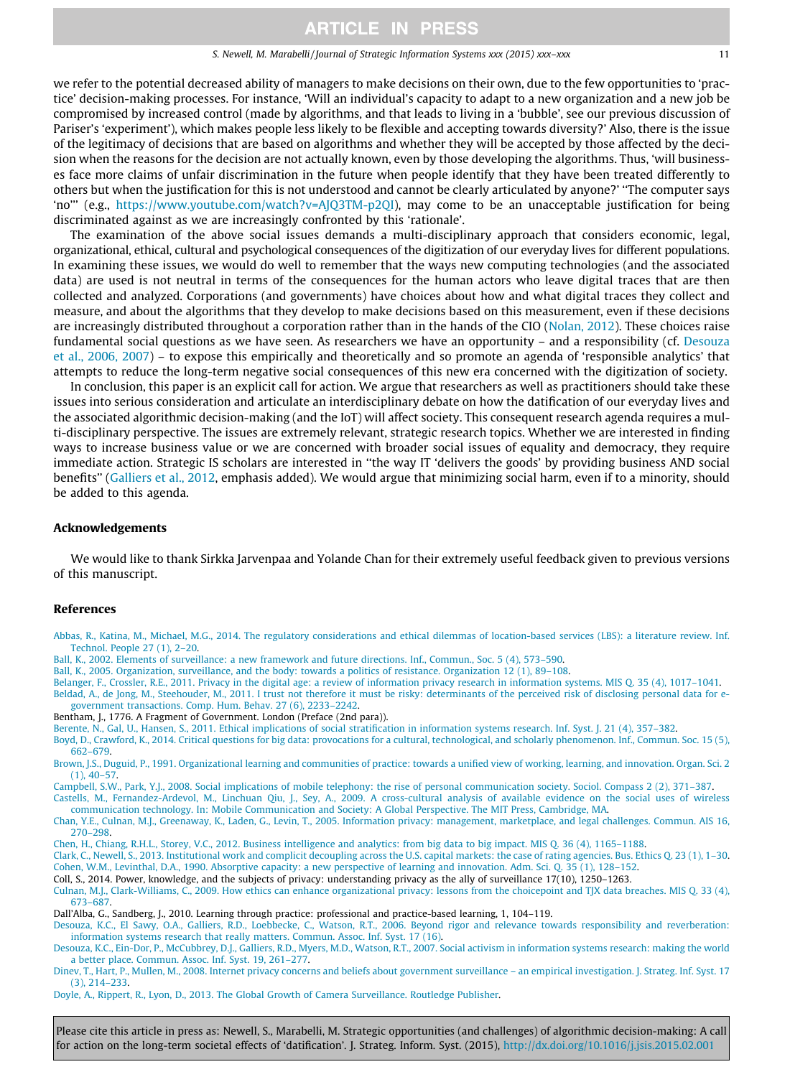<span id="page-10-0"></span>we refer to the potential decreased ability of managers to make decisions on their own, due to the few opportunities to 'practice' decision-making processes. For instance, 'Will an individual's capacity to adapt to a new organization and a new job be compromised by increased control (made by algorithms, and that leads to living in a 'bubble', see our previous discussion of Pariser's 'experiment'), which makes people less likely to be flexible and accepting towards diversity?' Also, there is the issue of the legitimacy of decisions that are based on algorithms and whether they will be accepted by those affected by the decision when the reasons for the decision are not actually known, even by those developing the algorithms. Thus, 'will businesses face more claims of unfair discrimination in the future when people identify that they have been treated differently to others but when the justification for this is not understood and cannot be clearly articulated by anyone?' ''The computer says 'no''' (e.g., [https://www.youtube.com/watch?v=AJQ3TM-p2QI\)](https://www.youtube.com/watch?v=AJQ3TM-p2QI), may come to be an unacceptable justification for being discriminated against as we are increasingly confronted by this 'rationale'.

The examination of the above social issues demands a multi-disciplinary approach that considers economic, legal, organizational, ethical, cultural and psychological consequences of the digitization of our everyday lives for different populations. In examining these issues, we would do well to remember that the ways new computing technologies (and the associated data) are used is not neutral in terms of the consequences for the human actors who leave digital traces that are then collected and analyzed. Corporations (and governments) have choices about how and what digital traces they collect and measure, and about the algorithms that they develop to make decisions based on this measurement, even if these decisions are increasingly distributed throughout a corporation rather than in the hands of the CIO [\(Nolan, 2012\)](#page-11-0). These choices raise fundamental social questions as we have seen. As researchers we have an opportunity – and a responsibility (cf. Desouza et al., 2006, 2007) – to expose this empirically and theoretically and so promote an agenda of 'responsible analytics' that attempts to reduce the long-term negative social consequences of this new era concerned with the digitization of society.

In conclusion, this paper is an explicit call for action. We argue that researchers as well as practitioners should take these issues into serious consideration and articulate an interdisciplinary debate on how the datification of our everyday lives and the associated algorithmic decision-making (and the IoT) will affect society. This consequent research agenda requires a multi-disciplinary perspective. The issues are extremely relevant, strategic research topics. Whether we are interested in finding ways to increase business value or we are concerned with broader social issues of equality and democracy, they require immediate action. Strategic IS scholars are interested in ''the way IT 'delivers the goods' by providing business AND social benefits'' ([Galliers et al., 2012](#page-11-0), emphasis added). We would argue that minimizing social harm, even if to a minority, should be added to this agenda.

## Acknowledgements

We would like to thank Sirkka Jarvenpaa and Yolande Chan for their extremely useful feedback given to previous versions of this manuscript.

### References

[Abbas, R., Katina, M., Michael, M.G., 2014. The regulatory considerations and ethical dilemmas of location-based services \(LBS\): a literature review. Inf.](http://refhub.elsevier.com/S0963-8687(15)00002-5/h0005) [Technol. People 27 \(1\), 2–20.](http://refhub.elsevier.com/S0963-8687(15)00002-5/h0005)

[Ball, K., 2002. Elements of surveillance: a new framework and future directions. Inf., Commun., Soc. 5 \(4\), 573–590.](http://refhub.elsevier.com/S0963-8687(15)00002-5/h0010)

[Ball, K., 2005. Organization, surveillance, and the body: towards a politics of resistance. Organization 12 \(1\), 89–108.](http://refhub.elsevier.com/S0963-8687(15)00002-5/h0015)

[Belanger, F., Crossler, R.E., 2011. Privacy in the digital age: a review of information privacy research in information systems. MIS Q. 35 \(4\), 1017–1041.](http://refhub.elsevier.com/S0963-8687(15)00002-5/h0020)

[Beldad, A., de Jong, M., Steehouder, M., 2011. I trust not therefore it must be risky: determinants of the perceived risk of disclosing personal data for e](http://refhub.elsevier.com/S0963-8687(15)00002-5/h0025)[government transactions. Comp. Hum. Behav. 27 \(6\), 2233–2242.](http://refhub.elsevier.com/S0963-8687(15)00002-5/h0025)

Bentham, J., 1776. A Fragment of Government. London (Preface (2nd para)).

[Berente, N., Gal, U., Hansen, S., 2011. Ethical implications of social stratification in information systems research. Inf. Syst. J. 21 \(4\), 357–382.](http://refhub.elsevier.com/S0963-8687(15)00002-5/h0035)

[Boyd, D., Crawford, K., 2014. Critical questions for big data: provocations for a cultural, technological, and scholarly phenomenon. Inf., Commun.](http://refhub.elsevier.com/S0963-8687(15)00002-5/h0040) Soc. 15 (5), [662–679.](http://refhub.elsevier.com/S0963-8687(15)00002-5/h0040)

[Brown, J.S., Duguid, P., 1991. Organizational learning and communities of practice: towards a unified view of working, learning, and innovation. Organ. Sci. 2](http://refhub.elsevier.com/S0963-8687(15)00002-5/h0045) [\(1\), 40–57](http://refhub.elsevier.com/S0963-8687(15)00002-5/h0045).

[Campbell, S.W., Park, Y.J., 2008. Social implications of mobile telephony: the rise of personal communication society. Sociol. Compass 2 \(2\), 371–387.](http://refhub.elsevier.com/S0963-8687(15)00002-5/h0050)

[Castells, M., Fernandez-Ardevol, M., Linchuan Qiu, J., Sey, A., 2009. A cross-cultural analysis of available evidence on the social uses of wireless](http://refhub.elsevier.com/S0963-8687(15)00002-5/h0400)

[communication technology. In: Mobile Communication and Society: A Global Perspective. The MIT Press, Cambridge, MA](http://refhub.elsevier.com/S0963-8687(15)00002-5/h0400). [Chan, Y.E., Culnan, M.J., Greenaway, K., Laden, G., Levin, T., 2005. Information privacy: management, marketplace, and legal challenges. Commun. AIS 16,](http://refhub.elsevier.com/S0963-8687(15)00002-5/h0060) [270–298](http://refhub.elsevier.com/S0963-8687(15)00002-5/h0060).

[Chen, H., Chiang, R.H.L., Storey, V.C., 2012. Business intelligence and analytics: from big data to big impact. MIS Q. 36 \(4\), 1165–1188](http://refhub.elsevier.com/S0963-8687(15)00002-5/h0065).

[Clark, C., Newell, S., 2013. Institutional work and complicit decoupling across the U.S. capital markets: the case of rating agencies. Bus. Ethics Q.](http://refhub.elsevier.com/S0963-8687(15)00002-5/h0070) 23 (1), 1–30. [Cohen, W.M., Levinthal, D.A., 1990. Absorptive capacity: a new perspective of learning and innovation. Adm. Sci. Q. 35 \(1\), 128–152](http://refhub.elsevier.com/S0963-8687(15)00002-5/h0075).

Coll, S., 2014. Power, knowledge, and the subjects of privacy: understanding privacy as the ally of surveillance 17(10), 1250–1263.

[Culnan, M.J., Clark-Williams, C., 2009. How ethics can enhance organizational privacy: lessons from the choicepoint and TJX data breaches. MIS Q. 33](http://refhub.elsevier.com/S0963-8687(15)00002-5/h0085) (4), [673–687.](http://refhub.elsevier.com/S0963-8687(15)00002-5/h0085)

Dall'Alba, G., Sandberg, J., 2010. Learning through practice: professional and practice-based learning, 1, 104–119.

[Desouza, K.C., El Sawy, O.A., Galliers, R.D., Loebbecke, C., Watson, R.T., 2006. Beyond rigor and relevance towards responsibility and reverberation:](http://refhub.elsevier.com/S0963-8687(15)00002-5/h0095) [information systems research that really matters. Commun. Assoc. Inf. Syst. 17 \(16\).](http://refhub.elsevier.com/S0963-8687(15)00002-5/h0095)

[Desouza, K.C., Ein-Dor, P., McCubbrey, D.J., Galliers, R.D., Myers, M.D., Watson, R.T., 2007. Social activism in information systems research: making the world](http://refhub.elsevier.com/S0963-8687(15)00002-5/h0100) [a better place. Commun. Assoc. Inf. Syst. 19, 261–277](http://refhub.elsevier.com/S0963-8687(15)00002-5/h0100).

[Dinev, T., Hart, P., Mullen, M., 2008. Internet privacy concerns and beliefs about government surveillance – an empirical investigation. J. Strateg. Inf. Syst. 17](http://refhub.elsevier.com/S0963-8687(15)00002-5/h0105) [\(3\), 214–233.](http://refhub.elsevier.com/S0963-8687(15)00002-5/h0105)

[Doyle, A., Rippert, R., Lyon, D., 2013. The Global Growth of Camera Surveillance. Routledge Publisher.](http://refhub.elsevier.com/S0963-8687(15)00002-5/h0415)